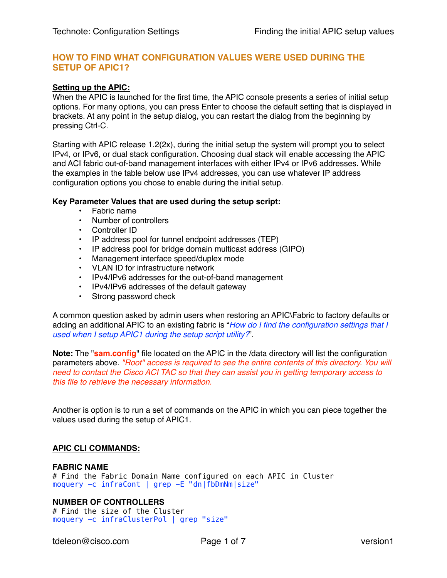# **HOW TO FIND WHAT CONFIGURATION VALUES WERE USED DURING THE SETUP OF APIC1?**

## **Setting up the APIC:**

When the APIC is launched for the first time, the APIC console presents a series of initial setup options. For many options, you can press Enter to choose the default setting that is displayed in brackets. At any point in the setup dialog, you can restart the dialog from the beginning by pressing Ctrl-C.

Starting with APIC release 1.2(2x), during the initial setup the system will prompt you to select IPv4, or IPv6, or dual stack configuration. Choosing dual stack will enable accessing the APIC and ACI fabric out-of-band management interfaces with either IPv4 or IPv6 addresses. While the examples in the table below use IPv4 addresses, you can use whatever IP address configuration options you chose to enable during the initial setup.

## **Key Parameter Values that are used during the setup script:**

- Fabric name
- Number of controllers
- Controller ID
- IP address pool for tunnel endpoint addresses (TEP)
- IP address pool for bridge domain multicast address (GIPO)
- Management interface speed/duplex mode
- VLAN ID for infrastructure network
- IPv4/IPv6 addresses for the out-of-band management
- IPv4/IPv6 addresses of the default gateway
- Strong password check

A common question asked by admin users when restoring an APIC\Fabric to factory defaults or adding an additional APIC to an existing fabric is "*How do I find the configuration settings that I used when I setup APIC1 during the setup script utility?*".

**Note:** The "**sam.config**" file located on the APIC in the /data directory will list the configuration parameters above. *"Root" access is required to see the entire contents of this directory. You will need to contact the Cisco ACI TAC so that they can assist you in getting temporary access to this file to retrieve the necessary information.*

Another is option is to run a set of commands on the APIC in which you can piece together the values used during the setup of APIC1.

## **APIC CLI COMMANDS:**

## **FABRIC NAME**

# Find the Fabric Domain Name configured on each APIC in Cluster moquery -c infraCont | grep -E "dn|fbDmNm|size"

## **NUMBER OF CONTROLLERS**

# Find the size of the Cluster moquery -c infraClusterPol | grep "size"

[tdeleon@cisco.com](mailto:tdeleon@cisco.com) Page 1 of 7 version1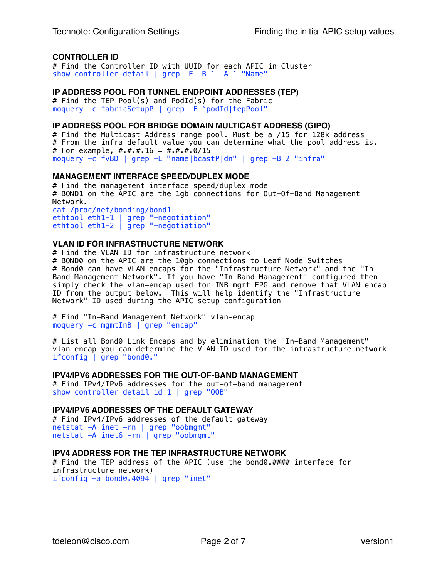## **CONTROLLER ID**

# Find the Controller ID with UUID for each APIC in Cluster show controller detail | grep -E -B 1 -A 1 "Name"

## **IP ADDRESS POOL FOR TUNNEL ENDPOINT ADDRESSES (TEP)**

# Find the TEP Pool(s) and PodId(s) for the Fabric moquery -c fabricSetupP | grep -E "podId|tepPool"

## **IP ADDRESS POOL FOR BRIDGE DOMAIN MULTICAST ADDRESS (GIPO)**

# Find the Multicast Address range pool. Must be a /15 for 128k address # From the infra default value you can determine what the pool address is. # For example,  $\#$ . $\#$ . $\#$ .16 =  $\#$ . $\#$ . $\#$ .0/15 moquery -c fvBD | grep -E "name|bcastP|dn" | grep -B 2 "infra"

## **MANAGEMENT INTERFACE SPEED/DUPLEX MODE**

# Find the management interface speed/duplex mode # BOND1 on the APIC are the 1gb connections for Out-Of-Band Management Network. cat /proc/net/bonding/bond1 ethtool eth1-1 | grep "-negotiation" ethtool eth1-2 | grep "-negotiation"

#### **VLAN ID FOR INFRASTRUCTURE NETWORK**

# Find the VLAN ID for infrastructure network # BOND0 on the APIC are the 10gb connections to Leaf Node Switches # Bond0 can have VLAN encaps for the "Infrastructure Network" and the "In-Band Management Network". If you have "In-Band Management" configured then simply check the vlan-encap used for INB mgmt EPG and remove that VLAN encap ID from the output below. This will help identify the "Infrastructure Network" ID used during the APIC setup configuration

# Find "In-Band Management Network" vlan-encap moquery -c mgmtInB | grep "encap"

# List all Bond0 Link Encaps and by elimination the "In-Band Management" vlan-encap you can determine the VLAN ID used for the infrastructure network ifconfig | grep "bond0."

#### **IPV4/IPV6 ADDRESSES FOR THE OUT-OF-BAND MANAGEMENT**

# Find IPv4/IPv6 addresses for the out-of-band management show controller detail id 1 | grep "00B"

#### **IPV4/IPV6 ADDRESSES OF THE DEFAULT GATEWAY**

# Find IPv4/IPv6 addresses of the default gateway netstat -A inet -rn | grep "oobmgmt" netstat -A inet6 -rn | grep "oobmgmt"

## **IPV4 ADDRESS FOR THE TEP INFRASTRUCTURE NETWORK**

# Find the TEP address of the APIC (use the bond0.#### interface for infrastructure network) ifconfig -a bond0.4094 | grep "inet"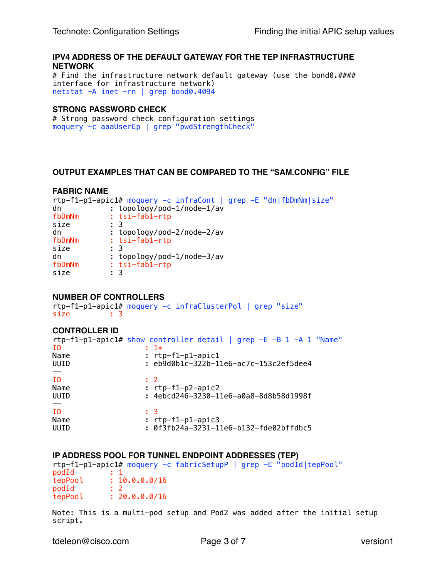# **IPV4 ADDRESS OF THE DEFAULT GATEWAY FOR THE TEP INFRASTRUCTURE NETWORK**

# Find the infrastructure network default gateway (use the bond0.#### interface for infrastructure network) netstat -A inet -rn | grep bond0.4094

# **STRONG PASSWORD CHECK**

# Strong password check configuration settings moquery -c aaaUserEp | grep "pwdStrengthCheck"

# **OUTPUT EXAMPLES THAT CAN BE COMPARED TO THE "SAM.CONFIG" FILE**

## **FABRIC NAME**

|        | rtp-f1-p1-apic1# moquery -c infraCont   grep -E "dn fbDmNm size" |
|--------|------------------------------------------------------------------|
| dn     | : topology/pod-1/node-1/av                                       |
| fbDmNm | $: tsi-fab1-rtp$                                                 |
| size   | : 3                                                              |
| dn     | : topology/pod-2/node-2/av                                       |
| fbDmNm | $: tsi-fab1-rtp$                                                 |
| size   | : 3                                                              |
| dn     | : topology/pod-1/node-3/av                                       |
| fbDmNm | $: tsi-fab1-rtp$                                                 |
| size   | $\pm$ 3                                                          |

# **NUMBER OF CONTROLLERS**

rtp-f1-p1-apic1# moquery -c infraClusterPol | grep "size" size : 3

# **CONTROLLER ID**

| rtp-f1-p1-apic1# show controller detail   grep $-E$ -B 1 -A 1 "Name"<br>$: 1*$ |
|--------------------------------------------------------------------------------|
| $: rtp-f1-p1-apic1$                                                            |
| $: eb9d0b1c-322b-11e6-ac7c-153c2ef5dee4$                                       |
|                                                                                |
| : 2                                                                            |
| : $rtp-f1-p2-\text{apic2}$                                                     |
| : 4ebcd246-3230-11e6-a0a8-8d8b58d1998f                                         |
|                                                                                |
| ÷ 3                                                                            |
| $: rtp-f1-p1-apic3$                                                            |
| : 0f3fb24a-3231-11e6-b132-fde02bffdbc5                                         |
|                                                                                |

## **IP ADDRESS POOL FOR TUNNEL ENDPOINT ADDRESSES (TEP)**

rtp-f1-p1-apic1# moquery -c fabricSetupP | grep -E "podId|tepPool" podId : 1<br>tepPool : 1  $\frac{10.0.0.0/16}{2}$  $podId$ tepPool : 20.0.0.0/16

Note: This is a multi-pod setup and Pod2 was added after the initial setup script.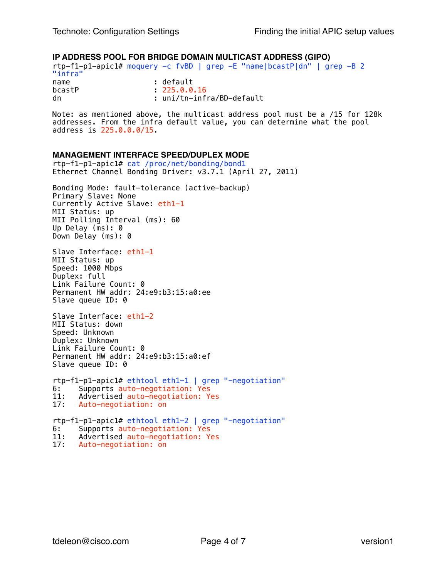## **IP ADDRESS POOL FOR BRIDGE DOMAIN MULTICAST ADDRESS (GIPO)**

rtp-f1-p1-apic1# moquery -c fvBD | grep -E "name|bcastP|dn" | grep -B 2 "infra" name : default<br>bcastP : 225.0.0  $: 225.0.0.16$ dn : uni/tn-infra/BD-default

Note: as mentioned above, the multicast address pool must be a /15 for 128k addresses. From the infra default value, you can determine what the pool address is 225.0.0.0/15.

#### **MANAGEMENT INTERFACE SPEED/DUPLEX MODE**

rtp-f1-p1-apic1# cat /proc/net/bonding/bond1 Ethernet Channel Bonding Driver: v3.7.1 (April 27, 2011) Bonding Mode: fault-tolerance (active-backup) Primary Slave: None Currently Active Slave: eth1-1 MII Status: up MII Polling Interval (ms): 60 Up Delay (ms): 0 Down Delay (ms): 0 Slave Interface: eth1-1 MII Status: up Speed: 1000 Mbps Duplex: full Link Failure Count: 0 Permanent HW addr: 24:e9:b3:15:a0:ee Slave queue ID: 0 Slave Interface: eth1-2 MII Status: down Speed: Unknown Duplex: Unknown Link Failure Count: 0 Permanent HW addr: 24:e9:b3:15:a0:ef Slave queue ID: 0 rtp-f1-p1-apic1# ethtool eth1-1 | grep "-negotiation" 6: Supports auto-negotiation: Yes<br>11: Advertised auto-negotiation: Ye 11: Advertised auto-negotiation: Yes<br>17: Auto-negotiation: on Auto-negotiation: on rtp-f1-p1-apic1# ethtool eth1-2 | grep "-negotiation" 6: Supports auto-negotiation: Yes 11: Advertised auto-negotiation: Yes<br>17: Auto-negotiation: on

Auto-negotiation: on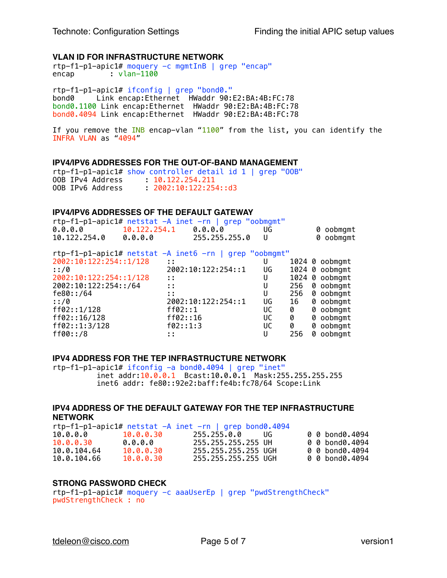## **VLAN ID FOR INFRASTRUCTURE NETWORK**

rtp-f1-p1-apic1# moquery -c mgmtInB | grep "encap" encap : vlan-1100

rtp-f1-p1-apic1# ifconfig | grep "bond0." bond0 Link encap:Ethernet HWaddr 90:E2:BA:4B:FC:78 bond0.1100 Link encap:Ethernet HWaddr 90:E2:BA:4B:FC:78 bond0.4094 Link encap:Ethernet HWaddr 90:E2:BA:4B:FC:78

If you remove the INB encap-vlan "1100" from the list, you can identify the INFRA VLAN as "4094"

#### **IPV4/IPV6 ADDRESSES FOR THE OUT-OF-BAND MANAGEMENT**

rtp-f1-p1-apic1# show controller detail id 1 | grep "OOB" OOB IPv4 Address : 10.122.254.211 OOB IPv6 Address : 2002:10:122:254::d3

#### **IPV4/IPV6 ADDRESSES OF THE DEFAULT GATEWAY**

| $rtp-f1-p1-apic1#$ netstat $-A$ inet $-rn$   grep "oobmgmt" |                          |               |      |           |
|-------------------------------------------------------------|--------------------------|---------------|------|-----------|
| 0.0.0.0                                                     | $10.122.254.1$ $0.0.0.0$ |               | - UG | 0 oobmgmt |
| 10.122.254.0                                                | 0.0.0.0                  | 255.255.255.0 |      | 0 oobmgmt |

rtp-f1-p1-apic1# netstat -A inet6 -rn | grep "oobmgmt"

| 2002:10:122:254::1/128 | t t                |    |     |   | 1024 0 oobmgmt |
|------------------------|--------------------|----|-----|---|----------------|
| : 70                   | 2002:10:122:254::1 | UG |     |   | 1024 0 oobmgmt |
| 2002:10:122:254::1/128 | 1 I                |    |     |   | 1024 0 oobmgmt |
| 2002:10:122:254::/64   | t t                | U  | 256 |   | 0 oobmgmt      |
| fe80::/64              |                    | U  | 256 |   | 0 oobmgmt      |
| :1/0                   | 2002:10:122:254::1 | UG | 16  |   | 0 oobmgmt      |
| ff02::1/128            | ff02: : 1          | UC | 0   |   | 0 oobmgmt      |
| ff02::16/128           | ff02:16            | UC | 0   |   | 0 oobmgmt      |
| ff02::1:3/128          | f02::1:3           | UС | 0   |   | 0 oobmgmt      |
| ff00::/8               |                    | U  | 256 | Ø | oobmgmt        |
|                        |                    |    |     |   |                |

#### **IPV4 ADDRESS FOR THE TEP INFRASTRUCTURE NETWORK**

rtp-f1-p1-apic1# ifconfig -a bond0.4094 | grep "inet" inet addr:10.0.0.1 Bcast:10.0.0.1 Mask:255.255.255.255 inet6 addr: fe80::92e2:baff:fe4b:fc78/64 Scope:Link

## **IPV4 ADDRESS OF THE DEFAULT GATEWAY FOR THE TEP INFRASTRUCTURE NETWORK**

 $rtp-f1-p1-apic1#$  netstat  $-A$  inet  $-rn$  | grep bond0.4094 10.0.0.0 10.0.0.30 255.255.0.0 UG 0 0 bond0.4094 10.0.0.30 0.0.0.0 255.255.255.255 UH 0 0 bond0.4094 10.0.104.64 10.0.0.30 255.255.255.255 UGH 0 0 bond0.4094 10.0.104.66 10.0.0.30 255.255.255.255 UGH 0 0 bond0.4094

## **STRONG PASSWORD CHECK**

rtp-f1-p1-apic1# moquery -c aaaUserEp | grep "pwdStrengthCheck" pwdStrengthCheck : no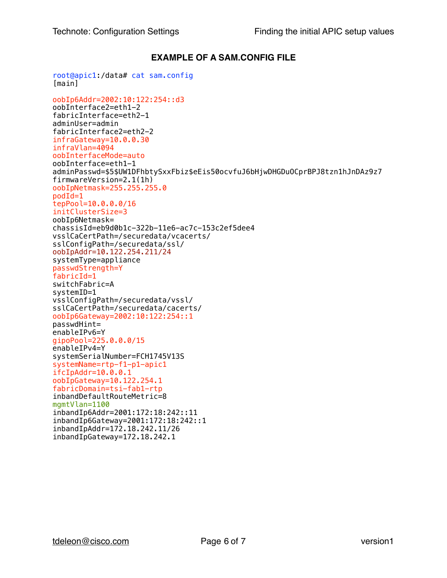# **EXAMPLE OF A SAM.CONFIG FILE**

```
root@apic1:/data# cat sam.config 
[main] 
oobIp6Addr=2002:10:122:254::d3 
oobInterface2=eth1-2 
fabricInterface=eth2-1 
adminUser=admin 
fabricInterface2=eth2-2 
infraGateway=10.0.0.30 
infraVlan=4094 
oobInterfaceMode=auto 
oobInterface=eth1-1 
adminPasswd=$5$UW1DFhbtySxxFbiz$eEis50ocvfuJ6bHjwDHGDuOCprBPJ8tzn1hJnDAz9z7 
firmwareVersion=2.1(1h) 
oobIpNetmask=255.255.255.0 
podId=1 
tepPool=10.0.0.0/16 
initClusterSize=3 
oobIp6Netmask= 
chassisId=eb9d0b1c-322b-11e6-ac7c-153c2ef5dee4 
vsslCaCertPath=/securedata/vcacerts/ 
sslConfigPath=/securedata/ssl/ 
oobIpAddr=10.122.254.211/24 
systemType=appliance 
passwdStrength=Y 
fabricId=1 
switchFabric=A 
systemID=1 
vsslConfigPath=/securedata/vssl/ 
sslCaCertPath=/securedata/cacerts/ 
oobIp6Gateway=2002:10:122:254::1 
passwdHint= 
enableIPv6=Y 
gipoPool=225.0.0.0/15 
enableIPv4=Y 
systemSerialNumber=FCH1745V13S 
systemName=rtp-f1-p1-apic1 
ifcIpAddr=10.0.0.1 
oobIpGateway=10.122.254.1 
fabricDomain=tsi-fab1-rtp 
inbandDefaultRouteMetric=8 
mgmtVlan=1100 
inbandIp6Addr=2001:172:18:242::11 
inbandIp6Gateway=2001:172:18:242::1 
inbandIpAddr=172.18.242.11/26 
inbandIpGateway=172.18.242.1
```